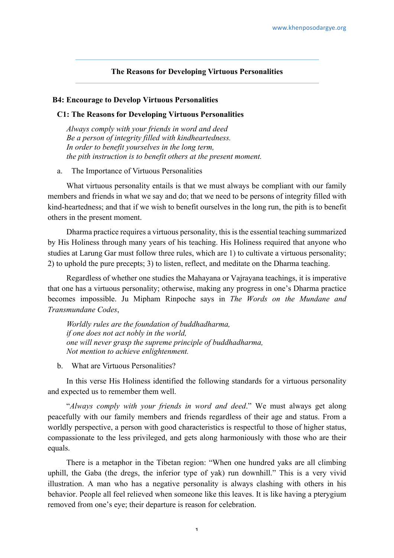### **The Reasons for Developing Virtuous Personalities**

#### **B4: Encourage to Develop Virtuous Personalities**

### **C1: The Reasons for Developing Virtuous Personalities**

*Always comply with your friends in word and deed Be a person of integrity filled with kindheartedness. In order to benefit yourselves in the long term, the pith instruction is to benefit others at the present moment.*

### a. The Importance of Virtuous Personalities

What virtuous personality entails is that we must always be compliant with our family members and friends in what we say and do; that we need to be persons of integrity filled with kind-heartedness; and that if we wish to benefit ourselves in the long run, the pith is to benefit others in the present moment.

Dharma practice requires a virtuous personality, this is the essential teaching summarized by His Holiness through many years of his teaching. His Holiness required that anyone who studies at Larung Gar must follow three rules, which are 1) to cultivate a virtuous personality; 2) to uphold the pure precepts; 3) to listen, reflect, and meditate on the Dharma teaching.

Regardless of whether one studies the Mahayana or Vajrayana teachings, it is imperative that one has a virtuous personality; otherwise, making any progress in one's Dharma practice becomes impossible. Ju Mipham Rinpoche says in *The Words on the Mundane and Transmundane Codes*,

*Worldly rules are the foundation of buddhadharma, if one does not act nobly in the world, one will never grasp the supreme principle of buddhadharma, Not mention to achieve enlightenment.*

b. What are Virtuous Personalities?

In this verse His Holiness identified the following standards for a virtuous personality and expected us to remember them well.

"*Always comply with your friends in word and deed*." We must always get along peacefully with our family members and friends regardless of their age and status. From a worldly perspective, a person with good characteristics is respectful to those of higher status, compassionate to the less privileged, and gets along harmoniously with those who are their equals.

There is a metaphor in the Tibetan region: "When one hundred yaks are all climbing uphill, the Gaba (the dregs, the inferior type of yak) run downhill." This is a very vivid illustration. A man who has a negative personality is always clashing with others in his behavior. People all feel relieved when someone like this leaves. It is like having a pterygium removed from one's eye; their departure is reason for celebration.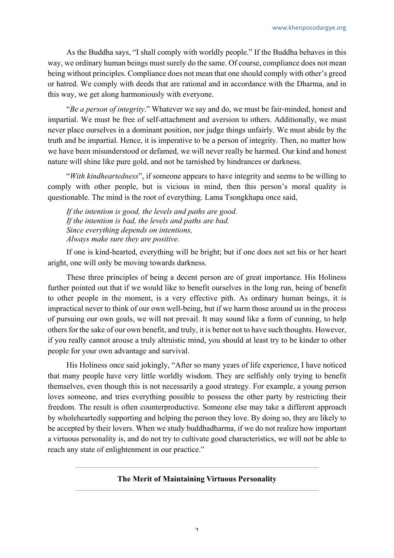As the Buddha says, "I shall comply with worldly people." If the Buddha behaves in this way, we ordinary human beings must surely do the same. Of course, compliance does not mean being without principles. Compliance does not mean that one should comply with other's greed or hatred. We comply with deeds that are rational and in accordance with the Dharma, and in this way, we get along harmoniously with everyone.

"*Be a person of integrity*." Whatever we say and do, we must be fair-minded, honest and impartial. We must be free of self-attachment and aversion to others. Additionally, we must never place ourselves in a dominant position, nor judge things unfairly. We must abide by the truth and be impartial. Hence, it is imperative to be a person of integrity. Then, no matter how we have been misunderstood or defamed, we will never really be harmed. Our kind and honest nature will shine like pure gold, and not be tarnished by hindrances or darkness.

"*With kindheartedness*", if someone appears to have integrity and seems to be willing to comply with other people, but is vicious in mind, then this person's moral quality is questionable. The mind is the root of everything. Lama Tsongkhapa once said,

*If the intention is good, the levels and paths are good. If the intention is bad, the levels and paths are bad. Since everything depends on intentions, Always make sure they are positive.*

If one is kind-hearted, everything will be bright; but if one does not set his or her heart aright, one will only be moving towards darkness.

These three principles of being a decent person are of great importance. His Holiness further pointed out that if we would like to benefit ourselves in the long run, being of benefit to other people in the moment, is a very effective pith. As ordinary human beings, it is impractical never to think of our own well-being, but if we harm those around us in the process of pursuing our own goals, we will not prevail. It may sound like a form of cunning, to help others for the sake of our own benefit, and truly, it is better not to have such thoughts. However, if you really cannot arouse a truly altruistic mind, you should at least try to be kinder to other people for your own advantage and survival.

His Holiness once said jokingly, "After so many years of life experience, I have noticed that many people have very little worldly wisdom. They are selfishly only trying to benefit themselves, even though this is not necessarily a good strategy. For example, a young person loves someone, and tries everything possible to possess the other party by restricting their freedom. The result is often counterproductive. Someone else may take a different approach by wholeheartedly supporting and helping the person they love. By doing so, they are likely to be accepted by their lovers. When we study buddhadharma, if we do not realize how important a virtuous personality is, and do not try to cultivate good characteristics, we will not be able to reach any state of enlightenment in our practice."

# **The Merit of Maintaining Virtuous Personality**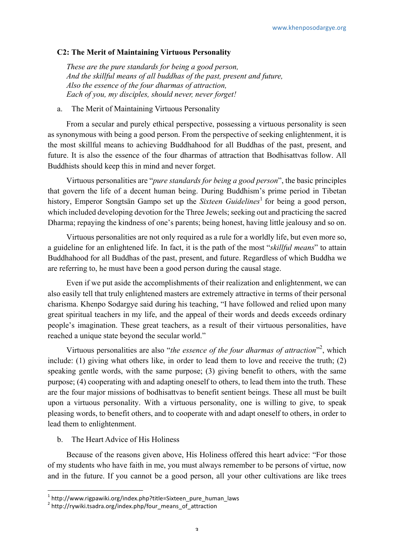## **C2: The Merit of Maintaining Virtuous Personality**

*These are the pure standards for being a good person, And the skillful means of all buddhas of the past, present and future, Also the essence of the four dharmas of attraction, Each of you, my disciples, should never, never forget!*

a. The Merit of Maintaining Virtuous Personality

From a secular and purely ethical perspective, possessing a virtuous personality is seen as synonymous with being a good person. From the perspective of seeking enlightenment, it is the most skillful means to achieving Buddhahood for all Buddhas of the past, present, and future. It is also the essence of the four dharmas of attraction that Bodhisattvas follow. All Buddhists should keep this in mind and never forget.

Virtuous personalities are "*pure standards for being a good person*", the basic principles that govern the life of a decent human being. During Buddhism's prime period in Tibetan history, Emperor Songtsän Gampo set up the *Sixteen Guidelines*<sup>1</sup> for being a good person, which included developing devotion for the Three Jewels; seeking out and practicing the sacred Dharma; repaying the kindness of one's parents; being honest, having little jealousy and so on.

Virtuous personalities are not only required as a rule for a worldly life, but even more so, a guideline for an enlightened life. In fact, it is the path of the most "*skillful means*" to attain Buddhahood for all Buddhas of the past, present, and future. Regardless of which Buddha we are referring to, he must have been a good person during the causal stage.

Even if we put aside the accomplishments of their realization and enlightenment, we can also easily tell that truly enlightened masters are extremely attractive in terms of their personal charisma. Khenpo Sodargye said during his teaching, "I have followed and relied upon many great spiritual teachers in my life, and the appeal of their words and deeds exceeds ordinary people's imagination. These great teachers, as a result of their virtuous personalities, have reached a unique state beyond the secular world."

Virtuous personalities are also "*the essence of the four dharmas of attraction*"<sup>2</sup>, which include: (1) giving what others like, in order to lead them to love and receive the truth; (2) speaking gentle words, with the same purpose; (3) giving benefit to others, with the same purpose; (4) cooperating with and adapting oneself to others, to lead them into the truth. These are the four major missions of bodhisattvas to benefit sentient beings. These all must be built upon a virtuous personality. With a virtuous personality, one is willing to give, to speak pleasing words, to benefit others, and to cooperate with and adapt oneself to others, in order to lead them to enlightenment.

b. The Heart Advice of His Holiness

 

Because of the reasons given above, His Holiness offered this heart advice: "For those of my students who have faith in me, you must always remember to be persons of virtue, now and in the future. If you cannot be a good person, all your other cultivations are like trees

 $^{\text{1}}$  http://www.rigpawiki.org/index.php?title=Sixteen\_pure\_human\_laws

<sup>2</sup> http://rywiki.tsadra.org/index.php/four\_means\_of\_attraction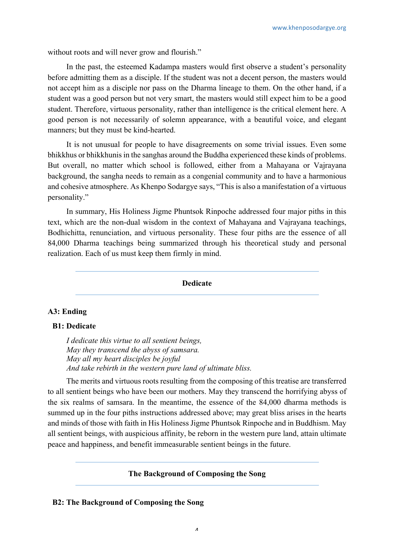without roots and will never grow and flourish."

In the past, the esteemed Kadampa masters would first observe a student's personality before admitting them as a disciple. If the student was not a decent person, the masters would not accept him as a disciple nor pass on the Dharma lineage to them. On the other hand, if a student was a good person but not very smart, the masters would still expect him to be a good student. Therefore, virtuous personality, rather than intelligence is the critical element here. A good person is not necessarily of solemn appearance, with a beautiful voice, and elegant manners; but they must be kind-hearted.

It is not unusual for people to have disagreements on some trivial issues. Even some bhikkhus or bhikkhunis in the sanghas around the Buddha experienced these kinds of problems. But overall, no matter which school is followed, either from a Mahayana or Vajrayana background, the sangha needs to remain as a congenial community and to have a harmonious and cohesive atmosphere. As Khenpo Sodargye says, "This is also a manifestation of a virtuous personality."

In summary, His Holiness Jigme Phuntsok Rinpoche addressed four major piths in this text, which are the non-dual wisdom in the context of Mahayana and Vajrayana teachings, Bodhichitta, renunciation, and virtuous personality. These four piths are the essence of all 84,000 Dharma teachings being summarized through his theoretical study and personal realization. Each of us must keep them firmly in mind.

**Dedicate**

## **A3: Ending**

# **B1: Dedicate**

*I dedicate this virtue to all sentient beings, May they transcend the abyss of samsara. May all my heart disciples be joyful And take rebirth in the western pure land of ultimate bliss.*

The merits and virtuous roots resulting from the composing of this treatise are transferred to all sentient beings who have been our mothers. May they transcend the horrifying abyss of the six realms of samsara. In the meantime, the essence of the 84,000 dharma methods is summed up in the four piths instructions addressed above; may great bliss arises in the hearts and minds of those with faith in His Holiness Jigme Phuntsok Rinpoche and in Buddhism. May all sentient beings, with auspicious affinity, be reborn in the western pure land, attain ultimate peace and happiness, and benefit immeasurable sentient beings in the future.

**The Background of Composing the Song**

### **B2: The Background of Composing the Song**